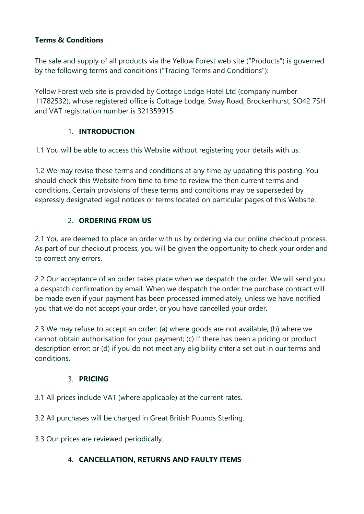## **Terms & Conditions**

The sale and supply of all products via the Yellow Forest web site ("Products") is governed by the following terms and conditions ("Trading Terms and Conditions"):

Yellow Forest web site is provided by Cottage Lodge Hotel Ltd (company number 11782532), whose registered office is Cottage Lodge, Sway Road, Brockenhurst, SO42 7SH and VAT registration number is 321359915.

### 1. **INTRODUCTION**

1.1 You will be able to access this Website without registering your details with us.

1.2 We may revise these terms and conditions at any time by updating this posting. You should check this Website from time to time to review the then current terms and conditions. Certain provisions of these terms and conditions may be superseded by expressly designated legal notices or terms located on particular pages of this Website.

# 2. **ORDERING FROM US**

2.1 You are deemed to place an order with us by ordering via our online checkout process. As part of our checkout process, you will be given the opportunity to check your order and to correct any errors.

2.2 Our acceptance of an order takes place when we despatch the order. We will send you a despatch confirmation by email. When we despatch the order the purchase contract will be made even if your payment has been processed immediately, unless we have notified you that we do not accept your order, or you have cancelled your order.

2.3 We may refuse to accept an order: (a) where goods are not available; (b) where we cannot obtain authorisation for your payment; (c) if there has been a pricing or product description error; or (d) if you do not meet any eligibility criteria set out in our terms and conditions.

## 3. **PRICING**

3.1 All prices include VAT (where applicable) at the current rates.

3.2 All purchases will be charged in Great British Pounds Sterling.

3.3 Our prices are reviewed periodically.

## 4. **CANCELLATION, RETURNS AND FAULTY ITEMS**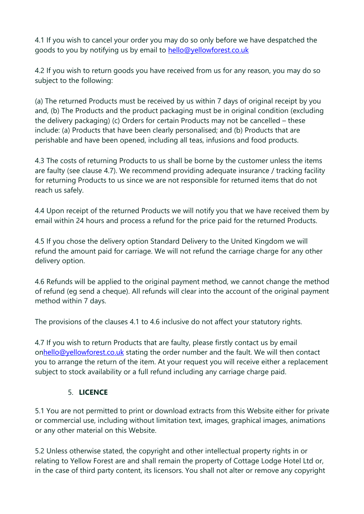4.1 If you wish to cancel your order you may do so only before we have despatched the goods to you by notifying us by email to hello@yellowforest.co.uk

4.2 If you wish to return goods you have received from us for any reason, you may do so subject to the following:

(a) The returned Products must be received by us within 7 days of original receipt by you and, (b) The Products and the product packaging must be in original condition (excluding the delivery packaging) (c) Orders for certain Products may not be cancelled – these include: (a) Products that have been clearly personalised; and (b) Products that are perishable and have been opened, including all teas, infusions and food products.

4.3 The costs of returning Products to us shall be borne by the customer unless the items are faulty (see clause 4.7). We recommend providing adequate insurance / tracking facility for returning Products to us since we are not responsible for returned items that do not reach us safely.

4.4 Upon receipt of the returned Products we will notify you that we have received them by email within 24 hours and process a refund for the price paid for the returned Products.

4.5 If you chose the delivery option Standard Delivery to the United Kingdom we will refund the amount paid for carriage. We will not refund the carriage charge for any other delivery option.

4.6 Refunds will be applied to the original payment method, we cannot change the method of refund (eg send a cheque). All refunds will clear into the account of the original payment method within 7 days.

The provisions of the clauses 4.1 to 4.6 inclusive do not affect your statutory rights.

4.7 If you wish to return Products that are faulty, please firstly contact us by email onhello@yellowforest.co.uk stating the order number and the fault. We will then contact you to arrange the return of the item. At your request you will receive either a replacement subject to stock availability or a full refund including any carriage charge paid.

## 5. **LICENCE**

5.1 You are not permitted to print or download extracts from this Website either for private or commercial use, including without limitation text, images, graphical images, animations or any other material on this Website.

5.2 Unless otherwise stated, the copyright and other intellectual property rights in or relating to Yellow Forest are and shall remain the property of Cottage Lodge Hotel Ltd or, in the case of third party content, its licensors. You shall not alter or remove any copyright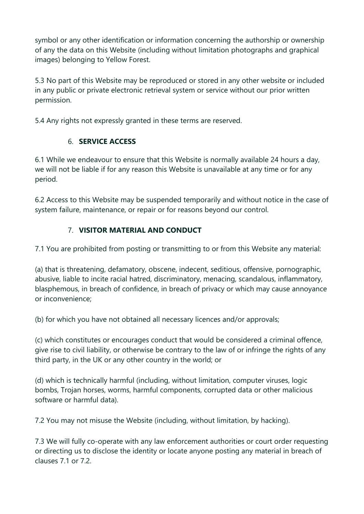symbol or any other identification or information concerning the authorship or ownership of any the data on this Website (including without limitation photographs and graphical images) belonging to Yellow Forest.

5.3 No part of this Website may be reproduced or stored in any other website or included in any public or private electronic retrieval system or service without our prior written permission.

5.4 Any rights not expressly granted in these terms are reserved.

## 6. **SERVICE ACCESS**

6.1 While we endeavour to ensure that this Website is normally available 24 hours a day, we will not be liable if for any reason this Website is unavailable at any time or for any period.

6.2 Access to this Website may be suspended temporarily and without notice in the case of system failure, maintenance, or repair or for reasons beyond our control.

# 7. **VISITOR MATERIAL AND CONDUCT**

7.1 You are prohibited from posting or transmitting to or from this Website any material:

(a) that is threatening, defamatory, obscene, indecent, seditious, offensive, pornographic, abusive, liable to incite racial hatred, discriminatory, menacing, scandalous, inflammatory, blasphemous, in breach of confidence, in breach of privacy or which may cause annoyance or inconvenience;

(b) for which you have not obtained all necessary licences and/or approvals;

(c) which constitutes or encourages conduct that would be considered a criminal offence, give rise to civil liability, or otherwise be contrary to the law of or infringe the rights of any third party, in the UK or any other country in the world; or

(d) which is technically harmful (including, without limitation, computer viruses, logic bombs, Trojan horses, worms, harmful components, corrupted data or other malicious software or harmful data).

7.2 You may not misuse the Website (including, without limitation, by hacking).

7.3 We will fully co-operate with any law enforcement authorities or court order requesting or directing us to disclose the identity or locate anyone posting any material in breach of clauses 7.1 or 7.2.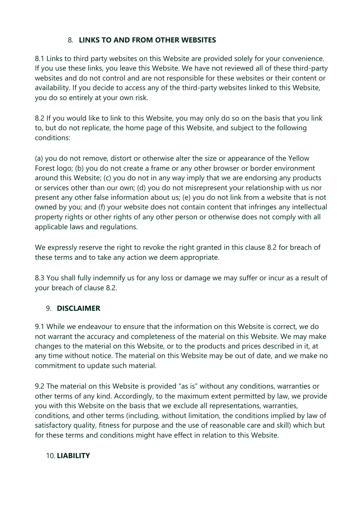# 8. **LINKS TO AND FROM OTHER WEBSITES**

8.1 Links to third party websites on this Website are provided solely for your convenience. If you use these links, you leave this Website. We have not reviewed all of these third-party websites and do not control and are not responsible for these websites or their content or availability. If you decide to access any of the third-party websites linked to this Website, you do so entirely at your own risk.

8.2 If you would like to link to this Website, you may only do so on the basis that you link to, but do not replicate, the home page of this Website, and subject to the following conditions:

(a) you do not remove, distort or otherwise alter the size or appearance of the Yellow Forest logo; (b) you do not create a frame or any other browser or border environment around this Website; (c) you do not in any way imply that we are endorsing any products or services other than our own; (d) you do not misrepresent your relationship with us nor present any other false information about us; (e) you do not link from a website that is not owned by you; and (f) your website does not contain content that infringes any intellectual property rights or other rights of any other person or otherwise does not comply with all applicable laws and regulations.

We expressly reserve the right to revoke the right granted in this clause 8.2 for breach of these terms and to take any action we deem appropriate.

8.3 You shall fully indemnify us for any loss or damage we may suffer or incur as a result of your breach of clause 8.2.

## 9. **DISCLAIMER**

9.1 While we endeavour to ensure that the information on this Website is correct, we do not warrant the accuracy and completeness of the material on this Website. We may make changes to the material on this Website, or to the products and prices described in it, at any time without notice. The material on this Website may be out of date, and we make no commitment to update such material.

9.2 The material on this Website is provided "as is" without any conditions, warranties or other terms of any kind. Accordingly, to the maximum extent permitted by law, we provide you with this Website on the basis that we exclude all representations, warranties, conditions, and other terms (including, without limitation, the conditions implied by law of satisfactory quality, fitness for purpose and the use of reasonable care and skill) which but for these terms and conditions might have effect in relation to this Website.

### 10. **LIABILITY**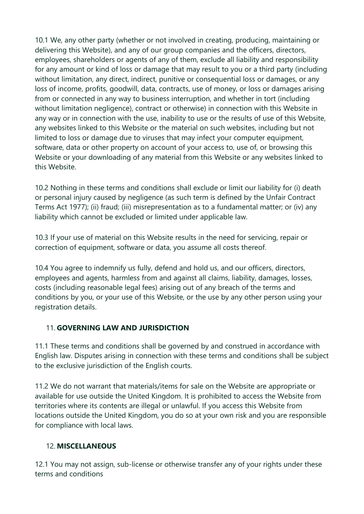10.1 We, any other party (whether or not involved in creating, producing, maintaining or delivering this Website), and any of our group companies and the officers, directors, employees, shareholders or agents of any of them, exclude all liability and responsibility for any amount or kind of loss or damage that may result to you or a third party (including without limitation, any direct, indirect, punitive or consequential loss or damages, or any loss of income, profits, goodwill, data, contracts, use of money, or loss or damages arising from or connected in any way to business interruption, and whether in tort (including without limitation negligence), contract or otherwise) in connection with this Website in any way or in connection with the use, inability to use or the results of use of this Website, any websites linked to this Website or the material on such websites, including but not limited to loss or damage due to viruses that may infect your computer equipment, software, data or other property on account of your access to, use of, or browsing this Website or your downloading of any material from this Website or any websites linked to this Website.

10.2 Nothing in these terms and conditions shall exclude or limit our liability for (i) death or personal injury caused by negligence (as such term is defined by the Unfair Contract Terms Act 1977); (ii) fraud; (iii) misrepresentation as to a fundamental matter; or (iv) any liability which cannot be excluded or limited under applicable law.

10.3 If your use of material on this Website results in the need for servicing, repair or correction of equipment, software or data, you assume all costs thereof.

10.4 You agree to indemnify us fully, defend and hold us, and our officers, directors, employees and agents, harmless from and against all claims, liability, damages, losses, costs (including reasonable legal fees) arising out of any breach of the terms and conditions by you, or your use of this Website, or the use by any other person using your registration details.

## 11. **GOVERNING LAW AND JURISDICTION**

11.1 These terms and conditions shall be governed by and construed in accordance with English law. Disputes arising in connection with these terms and conditions shall be subject to the exclusive jurisdiction of the English courts.

11.2 We do not warrant that materials/items for sale on the Website are appropriate or available for use outside the United Kingdom. It is prohibited to access the Website from territories where its contents are illegal or unlawful. If you access this Website from locations outside the United Kingdom, you do so at your own risk and you are responsible for compliance with local laws.

### 12. **MISCELLANEOUS**

12.1 You may not assign, sub-license or otherwise transfer any of your rights under these terms and conditions